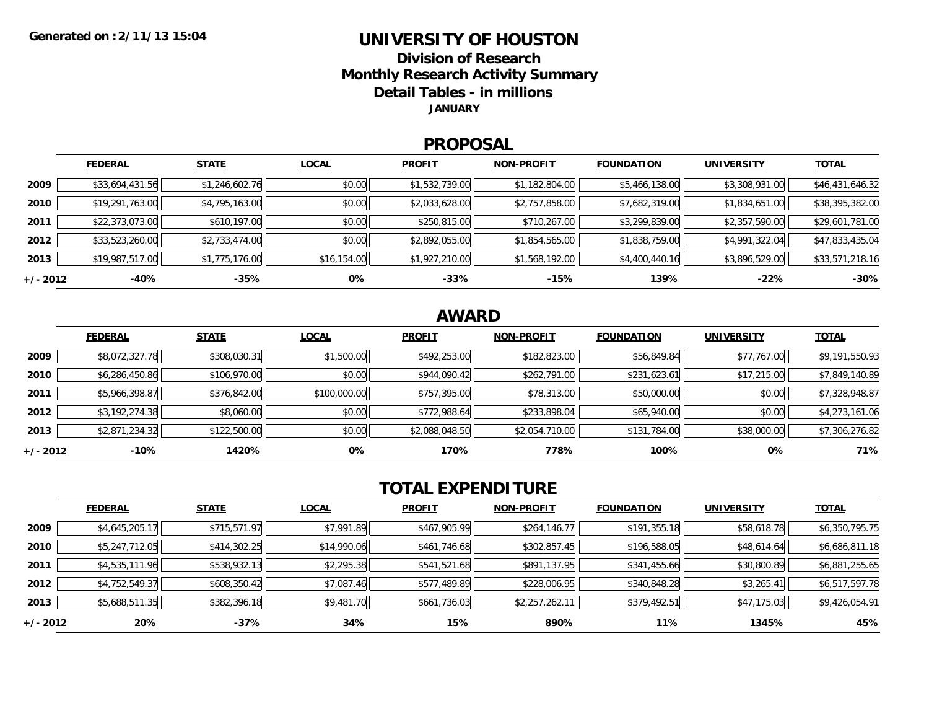#### **UNIVERSITY OF HOUSTONDivision of ResearchMonthly Research Activity Summary Detail Tables - in millions JANUARY**

#### **PROPOSAL**

|            | <b>FEDERAL</b>  | <b>STATE</b>   | <b>LOCAL</b> | <b>PROFIT</b>  | <b>NON-PROFIT</b> | <b>FOUNDATION</b> | <b>UNIVERSITY</b> | <u>TOTAL</u>    |
|------------|-----------------|----------------|--------------|----------------|-------------------|-------------------|-------------------|-----------------|
| 2009       | \$33,694,431.56 | \$1,246,602.76 | \$0.00       | \$1,532,739.00 | \$1,182,804.00    | \$5,466,138.00    | \$3,308,931.00    | \$46,431,646.32 |
| 2010       | \$19,291,763.00 | \$4,795,163.00 | \$0.00       | \$2,033,628.00 | \$2,757,858.00    | \$7,682,319.00    | \$1,834,651.00    | \$38,395,382.00 |
| 2011       | \$22,373,073.00 | \$610,197.00   | \$0.00       | \$250,815.00   | \$710,267.00      | \$3,299,839.00    | \$2,357,590.00    | \$29,601,781.00 |
| 2012       | \$33,523,260.00 | \$2,733,474.00 | \$0.00       | \$2,892,055.00 | \$1,854,565.00    | \$1,838,759.00    | \$4,991,322.04    | \$47,833,435.04 |
| 2013       | \$19,987,517.00 | \$1,775,176.00 | \$16,154.00  | \$1,927,210.00 | \$1,568,192.00    | \$4,400,440.16    | \$3,896,529.00    | \$33,571,218.16 |
| $+/- 2012$ | $-40%$          | -35%           | 0%           | $-33%$         | $-15%$            | 139%              | $-22%$            | $-30%$          |

### **AWARD**

|            | <b>FEDERAL</b> | <b>STATE</b> | <b>LOCAL</b> | <b>PROFIT</b>  | <b>NON-PROFIT</b> | <b>FOUNDATION</b> | <b>UNIVERSITY</b> | <b>TOTAL</b>   |
|------------|----------------|--------------|--------------|----------------|-------------------|-------------------|-------------------|----------------|
| 2009       | \$8,072,327.78 | \$308,030.31 | \$1,500.00   | \$492,253.00   | \$182,823.00      | \$56,849.84       | \$77,767.00       | \$9,191,550.93 |
| 2010       | \$6,286,450.86 | \$106,970.00 | \$0.00       | \$944,090.42   | \$262,791.00      | \$231,623.61      | \$17,215.00       | \$7,849,140.89 |
| 2011       | \$5,966,398.87 | \$376,842.00 | \$100,000.00 | \$757,395.00   | \$78,313.00       | \$50,000.00       | \$0.00            | \$7,328,948.87 |
| 2012       | \$3,192,274.38 | \$8,060.00   | \$0.00       | \$772,988.64   | \$233,898.04      | \$65,940.00       | \$0.00            | \$4,273,161.06 |
| 2013       | \$2,871,234.32 | \$122,500.00 | \$0.00       | \$2,088,048.50 | \$2,054,710.00    | \$131,784.00      | \$38,000.00       | \$7,306,276.82 |
| $+/- 2012$ | $-10%$         | 1420%        | 0%           | 170%           | 778%              | 100%              | 0%                | 71%            |

# **TOTAL EXPENDITURE**

|          | <b>FEDERAL</b> | <b>STATE</b> | <b>LOCAL</b> | <b>PROFIT</b> | <b>NON-PROFIT</b> | <b>FOUNDATION</b> | <b>UNIVERSITY</b> | <b>TOTAL</b>   |
|----------|----------------|--------------|--------------|---------------|-------------------|-------------------|-------------------|----------------|
| 2009     | \$4,645,205.17 | \$715,571.97 | \$7,991.89   | \$467,905.99  | \$264,146.77      | \$191,355.18      | \$58,618.78       | \$6,350,795.75 |
| 2010     | \$5,247,712.05 | \$414,302.25 | \$14,990.06  | \$461,746.68  | \$302,857.45      | \$196,588.05      | \$48,614.64       | \$6,686,811.18 |
| 2011     | \$4,535,111.96 | \$538,932.13 | \$2,295.38   | \$541,521.68  | \$891,137.95      | \$341,455.66      | \$30,800.89       | \$6,881,255.65 |
| 2012     | \$4,752,549.37 | \$608,350.42 | \$7,087.46   | \$577,489.89  | \$228,006.95      | \$340,848.28      | \$3,265.41        | \$6,517,597.78 |
| 2013     | \$5,688,511.35 | \$382,396.18 | \$9,481.70   | \$661,736.03  | \$2,257,262.11    | \$379,492.51      | \$47,175.03       | \$9,426,054.91 |
| +/- 2012 | 20%            | $-37%$       | 34%          | 15%           | 890%              | 11%               | 1345%             | 45%            |